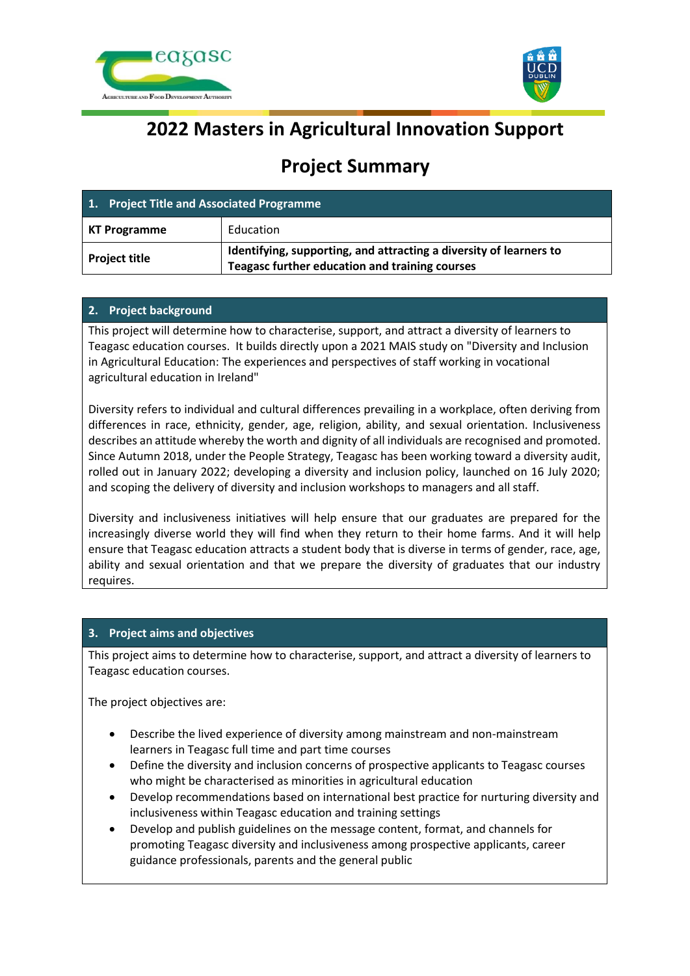



# **2022 Masters in Agricultural Innovation Support**

# **Project Summary**

| 1. Project Title and Associated Programme |                                                                                                                      |
|-------------------------------------------|----------------------------------------------------------------------------------------------------------------------|
| <b>KT Programme</b>                       | Education                                                                                                            |
| <b>Project title</b>                      | Identifying, supporting, and attracting a diversity of learners to<br>Teagasc further education and training courses |

### **2. Project background**

This project will determine how to characterise, support, and attract a diversity of learners to Teagasc education courses. It builds directly upon a 2021 MAIS study on "Diversity and Inclusion in Agricultural Education: The experiences and perspectives of staff working in vocational agricultural education in Ireland"

Diversity refers to individual and cultural differences prevailing in a workplace, often deriving from differences in race, ethnicity, gender, age, religion, ability, and sexual orientation. Inclusiveness describes an attitude whereby the worth and dignity of all individuals are recognised and promoted. Since Autumn 2018, under the People Strategy, Teagasc has been working toward a diversity audit, rolled out in January 2022; developing a diversity and inclusion policy, launched on 16 July 2020; and scoping the delivery of diversity and inclusion workshops to managers and all staff.

Diversity and inclusiveness initiatives will help ensure that our graduates are prepared for the increasingly diverse world they will find when they return to their home farms. And it will help ensure that Teagasc education attracts a student body that is diverse in terms of gender, race, age, ability and sexual orientation and that we prepare the diversity of graduates that our industry requires.

## **3. Project aims and objectives**

This project aims to determine how to characterise, support, and attract a diversity of learners to Teagasc education courses.

The project objectives are:

- Describe the lived experience of diversity among mainstream and non-mainstream learners in Teagasc full time and part time courses
- Define the diversity and inclusion concerns of prospective applicants to Teagasc courses who might be characterised as minorities in agricultural education
- Develop recommendations based on international best practice for nurturing diversity and inclusiveness within Teagasc education and training settings
- Develop and publish guidelines on the message content, format, and channels for promoting Teagasc diversity and inclusiveness among prospective applicants, career guidance professionals, parents and the general public